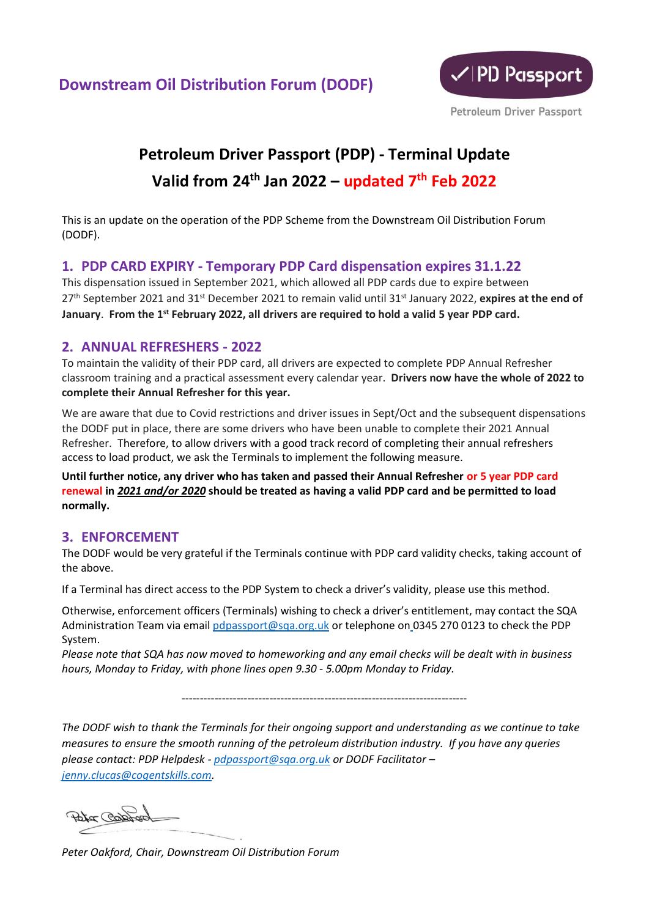

## **Petroleum Driver Passport (PDP) - Terminal Update Valid from 24th Jan 2022 – updated 7 th Feb 2022**

This is an update on the operation of the PDP Scheme from the Downstream Oil Distribution Forum (DODF).

## **1. PDP CARD EXPIRY - Temporary PDP Card dispensation expires 31.1.22**

This dispensation issued in September 2021, which allowed all PDP cards due to expire between 27<sup>th</sup> September 2021 and 31<sup>st</sup> December 2021 to remain valid until 31<sup>st</sup> January 2022, expires at the end of **January**. **From the 1st February 2022, all drivers are required to hold a valid 5 year PDP card.**

## **2. ANNUAL REFRESHERS - 2022**

To maintain the validity of their PDP card, all drivers are expected to complete PDP Annual Refresher classroom training and a practical assessment every calendar year. **Drivers now have the whole of 2022 to complete their Annual Refresher for this year.**

We are aware that due to Covid restrictions and driver issues in Sept/Oct and the subsequent dispensations the DODF put in place, there are some drivers who have been unable to complete their 2021 Annual Refresher. Therefore, to allow drivers with a good track record of completing their annual refreshers access to load product, we ask the Terminals to implement the following measure.

**Until further notice, any driver who has taken and passed their Annual Refresher or 5 year PDP card renewal in** *2021 and/or 2020* **should be treated as having a valid PDP card and be permitted to load normally.**

## **3. ENFORCEMENT**

The DODF would be very grateful if the Terminals continue with PDP card validity checks, taking account of the above.

If a Terminal has direct access to the PDP System to check a driver's validity, please use this method.

Otherwise, enforcement officers (Terminals) wishing to check a driver's entitlement, may contact the SQA Administration Team via email [pdpassport@sqa.org.uk](mailto:pdpassport@sqa.org.uk) or telephone on 0345 270 0123 to check the PDP System.

*Please note that SQA has now moved to homeworking and any email checks will be dealt with in business hours, Monday to Friday, with phone lines open 9.30 - 5.00pm Monday to Friday.*

------------------------------------------------------------------------------

*The DODF wish to thank the Terminals for their ongoing support and understanding as we continue to take measures to ensure the smooth running of the petroleum distribution industry. If you have any queries please contact: PDP Helpdesk - [pdpassport@sqa.org.uk](mailto:pdpassport@sqa.org.uk) or DODF Facilitator – [jenny.clucas@cogentskills.com.](mailto:jenny.clucas@cogentskills.com)*

Peter Copport

*Peter Oakford, Chair, Downstream Oil Distribution Forum*